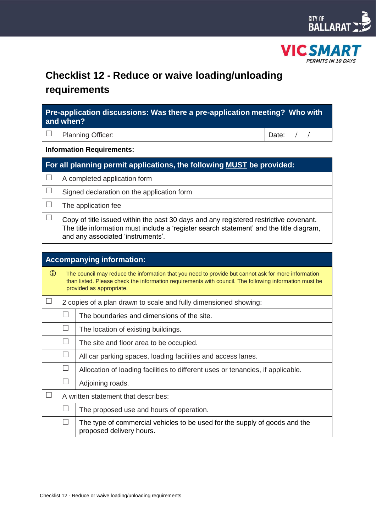



# **Checklist 12 - Reduce or waive loading/unloading requirements**

| Pre-application discussions: Was there a pre-application meeting? Who with<br>and when? |             |  |  |  |
|-----------------------------------------------------------------------------------------|-------------|--|--|--|
| $\Box$ Planning Officer:                                                                | Date: $/$ / |  |  |  |

**Information Requirements:**

| For all planning permit applications, the following MUST be provided: |                                                                                                                                                                                                                       |  |  |  |
|-----------------------------------------------------------------------|-----------------------------------------------------------------------------------------------------------------------------------------------------------------------------------------------------------------------|--|--|--|
|                                                                       | A completed application form                                                                                                                                                                                          |  |  |  |
|                                                                       | Signed declaration on the application form                                                                                                                                                                            |  |  |  |
|                                                                       | The application fee                                                                                                                                                                                                   |  |  |  |
|                                                                       | Copy of title issued within the past 30 days and any registered restrictive covenant.<br>The title information must include a 'register search statement' and the title diagram,<br>and any associated 'instruments'. |  |  |  |

| <b>Accompanying information:</b> |                                                                                                                                                                                                                                           |                                                                                                        |  |  |  |  |
|----------------------------------|-------------------------------------------------------------------------------------------------------------------------------------------------------------------------------------------------------------------------------------------|--------------------------------------------------------------------------------------------------------|--|--|--|--|
| $\mathbf{D}$                     | The council may reduce the information that you need to provide but cannot ask for more information<br>than listed. Please check the information requirements with council. The following information must be<br>provided as appropriate. |                                                                                                        |  |  |  |  |
|                                  |                                                                                                                                                                                                                                           | 2 copies of a plan drawn to scale and fully dimensioned showing:                                       |  |  |  |  |
|                                  | $\Box$                                                                                                                                                                                                                                    | The boundaries and dimensions of the site.                                                             |  |  |  |  |
|                                  |                                                                                                                                                                                                                                           | The location of existing buildings.                                                                    |  |  |  |  |
|                                  |                                                                                                                                                                                                                                           | The site and floor area to be occupied.                                                                |  |  |  |  |
|                                  |                                                                                                                                                                                                                                           | All car parking spaces, loading facilities and access lanes.                                           |  |  |  |  |
|                                  | $\vert \ \ \vert$                                                                                                                                                                                                                         | Allocation of loading facilities to different uses or tenancies, if applicable.                        |  |  |  |  |
|                                  | $\blacksquare$                                                                                                                                                                                                                            | Adjoining roads.                                                                                       |  |  |  |  |
| $\Box$                           |                                                                                                                                                                                                                                           | A written statement that describes:                                                                    |  |  |  |  |
|                                  |                                                                                                                                                                                                                                           | The proposed use and hours of operation.                                                               |  |  |  |  |
|                                  | $\Box$                                                                                                                                                                                                                                    | The type of commercial vehicles to be used for the supply of goods and the<br>proposed delivery hours. |  |  |  |  |